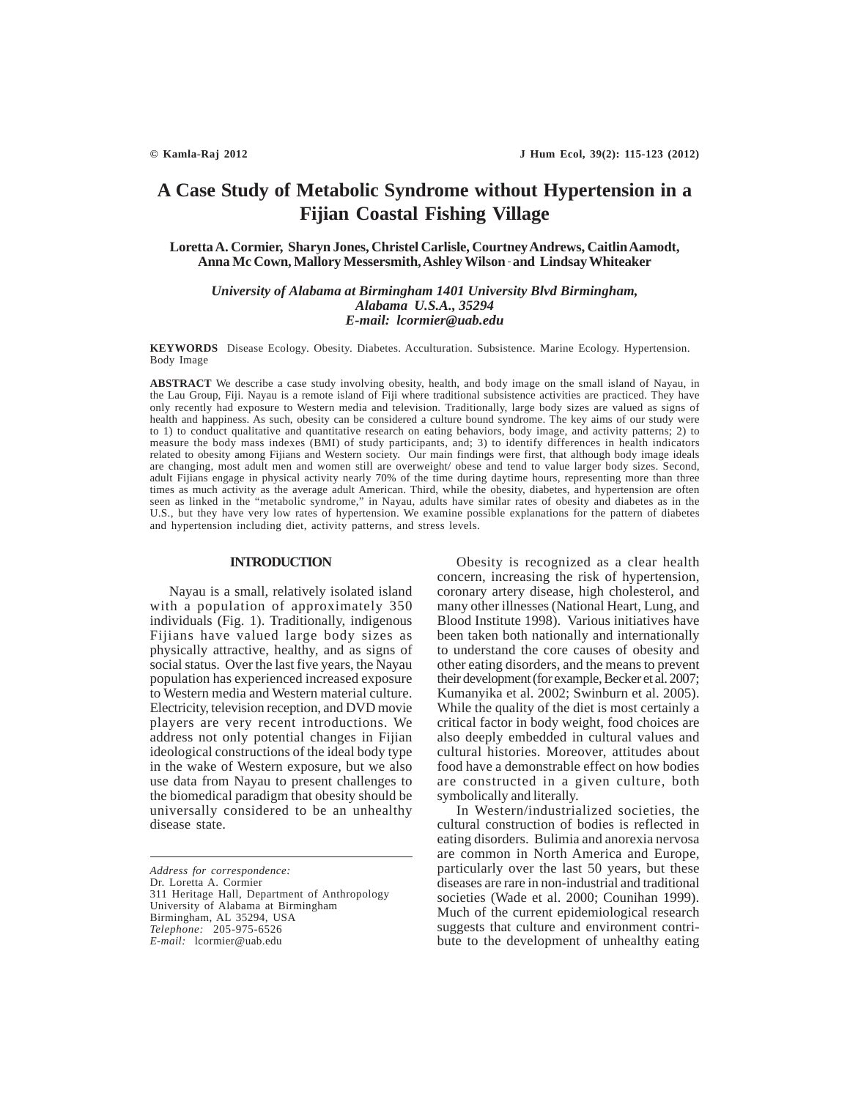# **A Case Study of Metabolic Syndrome without Hypertension in a Fijian Coastal Fishing Village**

## **Loretta A. Cormier, Sharyn Jones, Christel Carlisle, Courtney Andrews, Caitlin Aamodt,** Anna Mc Cown, Mallory Messersmith, Ashley Wilson - and Lindsay Whiteaker

## *University of Alabama at Birmingham 1401 University Blvd Birmingham, Alabama U.S.A., 35294 E-mail: lcormier@uab.edu*

**KEYWORDS** Disease Ecology. Obesity. Diabetes. Acculturation. Subsistence. Marine Ecology. Hypertension. Body Image

**ABSTRACT** We describe a case study involving obesity, health, and body image on the small island of Nayau, in the Lau Group, Fiji. Nayau is a remote island of Fiji where traditional subsistence activities are practiced. They have only recently had exposure to Western media and television. Traditionally, large body sizes are valued as signs of health and happiness. As such, obesity can be considered a culture bound syndrome. The key aims of our study were to 1) to conduct qualitative and quantitative research on eating behaviors, body image, and activity patterns; 2) to measure the body mass indexes (BMI) of study participants, and; 3) to identify differences in health indicators related to obesity among Fijians and Western society. Our main findings were first, that although body image ideals are changing, most adult men and women still are overweight/ obese and tend to value larger body sizes. Second, adult Fijians engage in physical activity nearly 70% of the time during daytime hours, representing more than three times as much activity as the average adult American. Third, while the obesity, diabetes, and hypertension are often seen as linked in the "metabolic syndrome," in Nayau, adults have similar rates of obesity and diabetes as in the U.S., but they have very low rates of hypertension. We examine possible explanations for the pattern of diabetes and hypertension including diet, activity patterns, and stress levels.

### **INTRODUCTION**

Nayau is a small, relatively isolated island with a population of approximately 350 individuals (Fig. 1). Traditionally, indigenous Fijians have valued large body sizes as physically attractive, healthy, and as signs of social status. Over the last five years, the Nayau population has experienced increased exposure to Western media and Western material culture. Electricity, television reception, and DVD movie players are very recent introductions. We address not only potential changes in Fijian ideological constructions of the ideal body type in the wake of Western exposure, but we also use data from Nayau to present challenges to the biomedical paradigm that obesity should be universally considered to be an unhealthy disease state.

*Address for correspondence:* Dr. Loretta A. Cormier 311 Heritage Hall, Department of Anthropology University of Alabama at Birmingham Birmingham, AL 35294, USA *Telephone:* 205-975-6526 *E-mail:* lcormier@uab.edu

Obesity is recognized as a clear health concern, increasing the risk of hypertension, coronary artery disease, high cholesterol, and many other illnesses (National Heart, Lung, and Blood Institute 1998). Various initiatives have been taken both nationally and internationally to understand the core causes of obesity and other eating disorders, and the means to prevent their development (for example, Becker et al. 2007; Kumanyika et al. 2002; Swinburn et al. 2005). While the quality of the diet is most certainly a critical factor in body weight, food choices are also deeply embedded in cultural values and cultural histories. Moreover, attitudes about food have a demonstrable effect on how bodies are constructed in a given culture, both symbolically and literally.

In Western/industrialized societies, the cultural construction of bodies is reflected in eating disorders. Bulimia and anorexia nervosa are common in North America and Europe, particularly over the last 50 years, but these diseases are rare in non-industrial and traditional societies (Wade et al. 2000; Counihan 1999). Much of the current epidemiological research suggests that culture and environment contribute to the development of unhealthy eating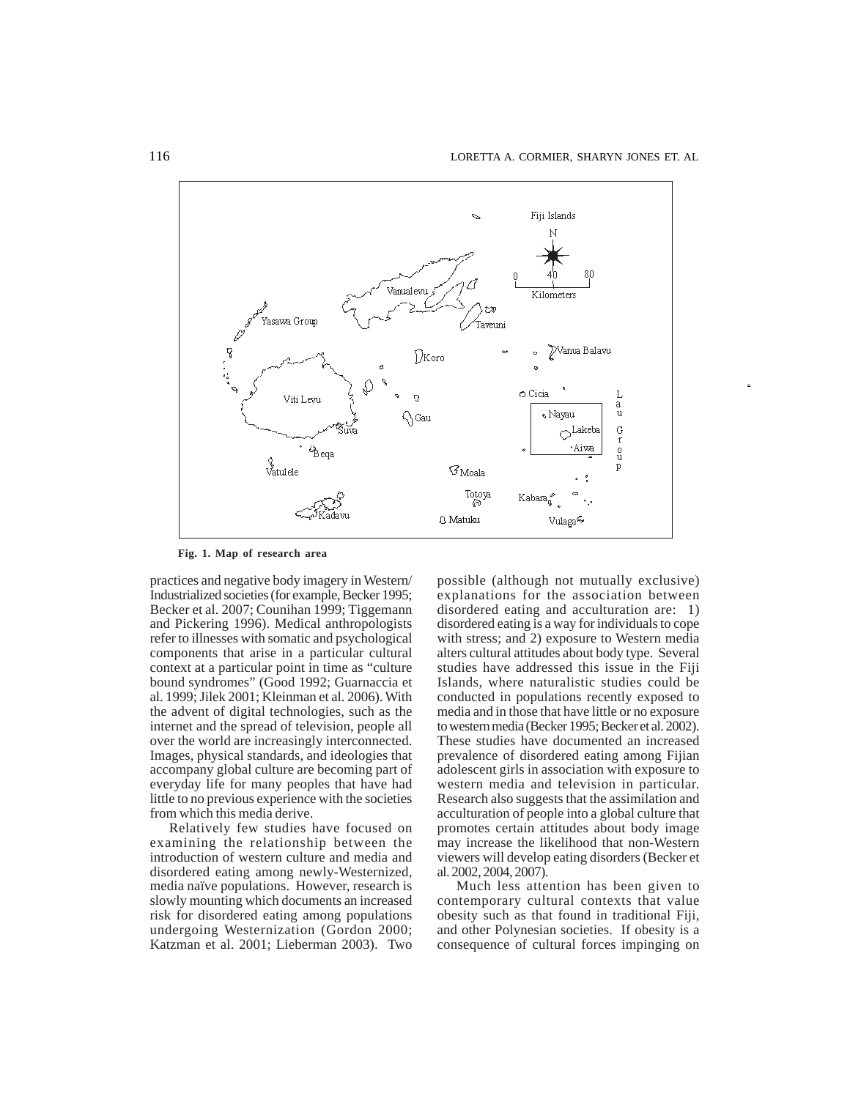

**Fig. 1. Map of research area**

practices and negative body imagery in Western/ Industrialized societies (for example, Becker 1995; Becker et al. 2007; Counihan 1999; Tiggemann and Pickering 1996). Medical anthropologists refer to illnesses with somatic and psychological components that arise in a particular cultural context at a particular point in time as "culture bound syndromes" (Good 1992; Guarnaccia et al. 1999; Jilek 2001; Kleinman et al. 2006). With the advent of digital technologies, such as the internet and the spread of television, people all over the world are increasingly interconnected. Images, physical standards, and ideologies that accompany global culture are becoming part of everyday life for many peoples that have had little to no previous experience with the societies from which this media derive.

Relatively few studies have focused on examining the relationship between the introduction of western culture and media and disordered eating among newly-Westernized, media naïve populations. However, research is slowly mounting which documents an increased risk for disordered eating among populations undergoing Westernization (Gordon 2000; Katzman et al. 2001; Lieberman 2003). Two possible (although not mutually exclusive) explanations for the association between disordered eating and acculturation are: 1) disordered eating is a way for individuals to cope with stress; and 2) exposure to Western media alters cultural attitudes about body type. Several studies have addressed this issue in the Fiji Islands, where naturalistic studies could be conducted in populations recently exposed to media and in those that have little or no exposure to western media (Becker 1995; Becker et al. 2002). These studies have documented an increased prevalence of disordered eating among Fijian adolescent girls in association with exposure to western media and television in particular. Research also suggests that the assimilation and acculturation of people into a global culture that promotes certain attitudes about body image may increase the likelihood that non-Western viewers will develop eating disorders (Becker et al. 2002, 2004, 2007).

Much less attention has been given to contemporary cultural contexts that value obesity such as that found in traditional Fiji, and other Polynesian societies. If obesity is a consequence of cultural forces impinging on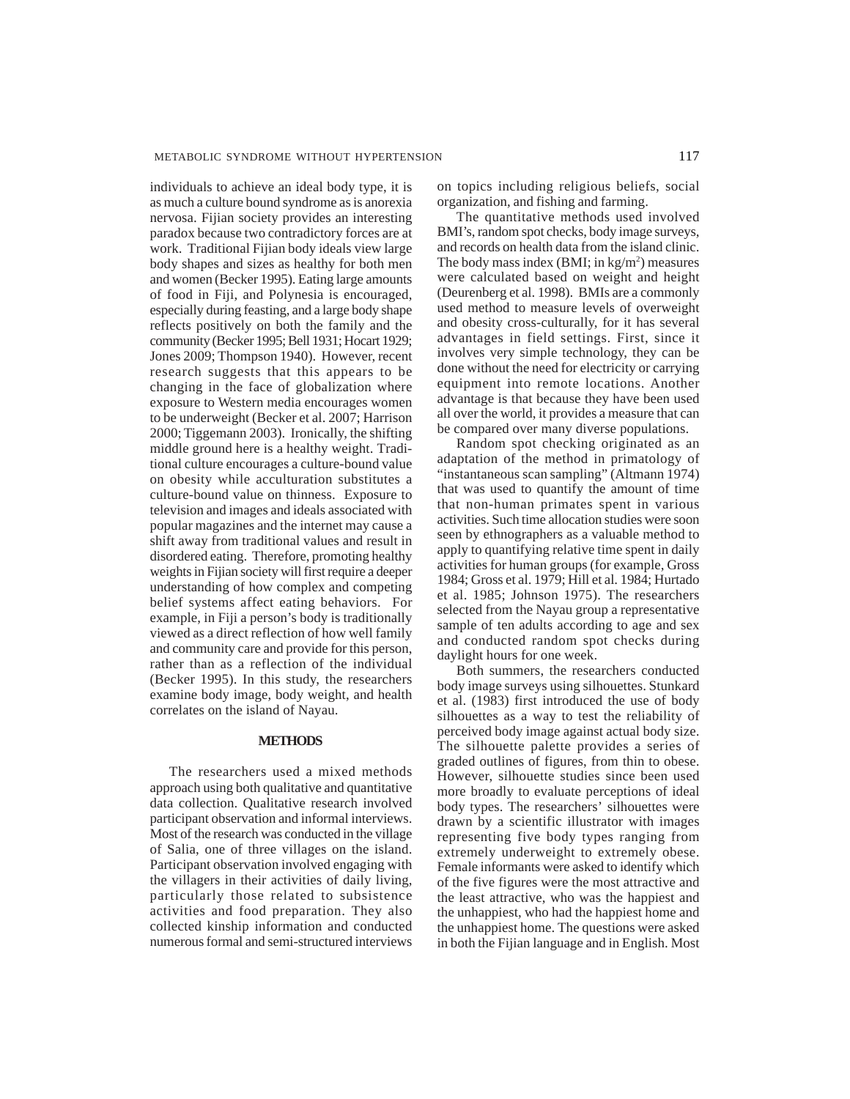individuals to achieve an ideal body type, it is as much a culture bound syndrome as is anorexia nervosa. Fijian society provides an interesting paradox because two contradictory forces are at work. Traditional Fijian body ideals view large body shapes and sizes as healthy for both men and women (Becker 1995). Eating large amounts of food in Fiji, and Polynesia is encouraged, especially during feasting, and a large body shape reflects positively on both the family and the community (Becker 1995; Bell 1931; Hocart 1929; Jones 2009; Thompson 1940). However, recent research suggests that this appears to be changing in the face of globalization where exposure to Western media encourages women to be underweight (Becker et al. 2007; Harrison 2000; Tiggemann 2003). Ironically, the shifting middle ground here is a healthy weight. Traditional culture encourages a culture-bound value on obesity while acculturation substitutes a culture-bound value on thinness. Exposure to television and images and ideals associated with popular magazines and the internet may cause a shift away from traditional values and result in disordered eating. Therefore, promoting healthy weights in Fijian society will first require a deeper understanding of how complex and competing belief systems affect eating behaviors. For example, in Fiji a person's body is traditionally viewed as a direct reflection of how well family and community care and provide for this person, rather than as a reflection of the individual (Becker 1995). In this study, the researchers examine body image, body weight, and health correlates on the island of Nayau.

## **METHODS**

The researchers used a mixed methods approach using both qualitative and quantitative data collection. Qualitative research involved participant observation and informal interviews. Most of the research was conducted in the village of Salia, one of three villages on the island. Participant observation involved engaging with the villagers in their activities of daily living, particularly those related to subsistence activities and food preparation. They also collected kinship information and conducted numerous formal and semi-structured interviews

on topics including religious beliefs, social organization, and fishing and farming.

The quantitative methods used involved BMI's, random spot checks, body image surveys, and records on health data from the island clinic. The body mass index  $(BMI; \text{in kg/m}^2)$  measures were calculated based on weight and height (Deurenberg et al. 1998). BMIs are a commonly used method to measure levels of overweight and obesity cross-culturally, for it has several advantages in field settings. First, since it involves very simple technology, they can be done without the need for electricity or carrying equipment into remote locations. Another advantage is that because they have been used all over the world, it provides a measure that can be compared over many diverse populations.

Random spot checking originated as an adaptation of the method in primatology of "instantaneous scan sampling" (Altmann 1974) that was used to quantify the amount of time that non-human primates spent in various activities. Such time allocation studies were soon seen by ethnographers as a valuable method to apply to quantifying relative time spent in daily activities for human groups (for example, Gross 1984; Gross et al. 1979; Hill et al. 1984; Hurtado et al. 1985; Johnson 1975). The researchers selected from the Nayau group a representative sample of ten adults according to age and sex and conducted random spot checks during daylight hours for one week.

Both summers, the researchers conducted body image surveys using silhouettes. Stunkard et al. (1983) first introduced the use of body silhouettes as a way to test the reliability of perceived body image against actual body size. The silhouette palette provides a series of graded outlines of figures, from thin to obese. However, silhouette studies since been used more broadly to evaluate perceptions of ideal body types. The researchers' silhouettes were drawn by a scientific illustrator with images representing five body types ranging from extremely underweight to extremely obese. Female informants were asked to identify which of the five figures were the most attractive and the least attractive, who was the happiest and the unhappiest, who had the happiest home and the unhappiest home. The questions were asked in both the Fijian language and in English. Most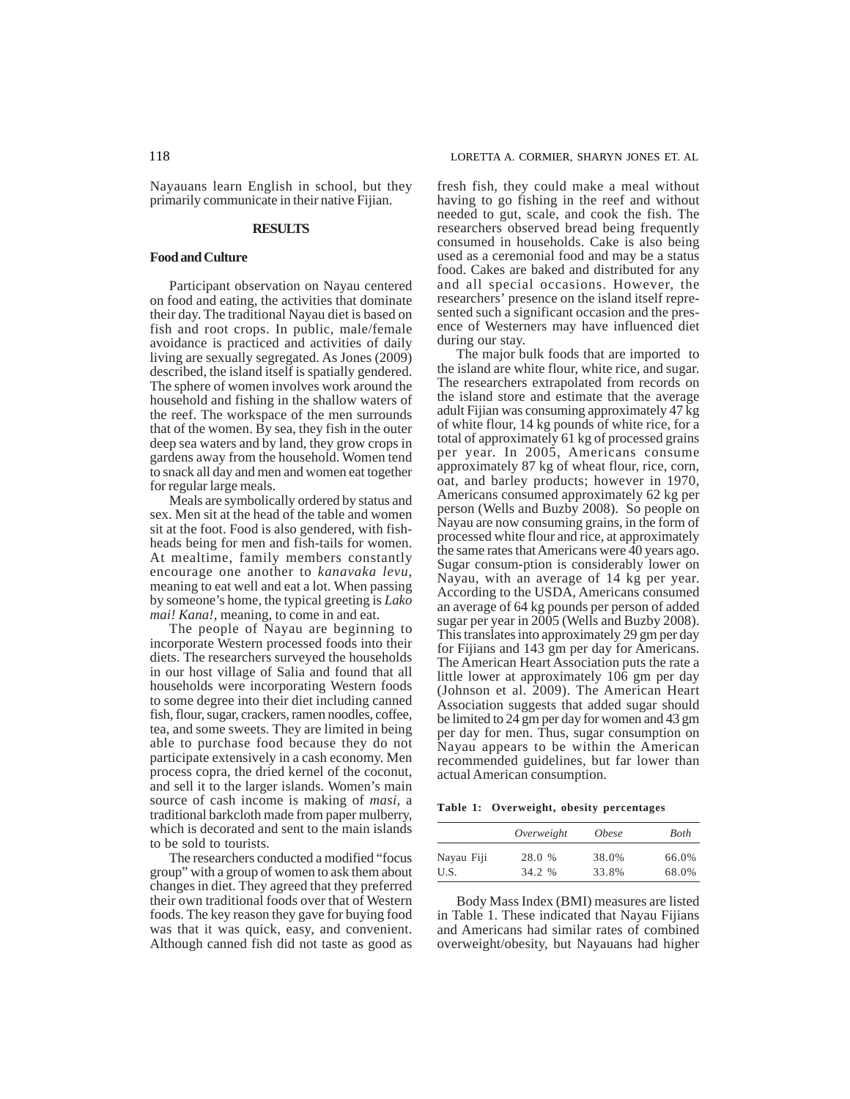#### **RESULTS**

#### **Food and Culture**

Participant observation on Nayau centered on food and eating, the activities that dominate their day. The traditional Nayau diet is based on fish and root crops. In public, male/female avoidance is practiced and activities of daily living are sexually segregated. As Jones (2009) described, the island itself is spatially gendered. The sphere of women involves work around the household and fishing in the shallow waters of the reef. The workspace of the men surrounds that of the women. By sea, they fish in the outer deep sea waters and by land, they grow crops in gardens away from the household. Women tend to snack all day and men and women eat together for regular large meals.

Meals are symbolically ordered by status and sex. Men sit at the head of the table and women sit at the foot. Food is also gendered, with fishheads being for men and fish-tails for women. At mealtime, family members constantly encourage one another to *kanavaka levu*, meaning to eat well and eat a lot. When passing by someone's home, the typical greeting is *Lako mai! Kana!,* meaning, to come in and eat.

The people of Nayau are beginning to incorporate Western processed foods into their diets. The researchers surveyed the households in our host village of Salia and found that all households were incorporating Western foods to some degree into their diet including canned fish, flour, sugar, crackers, ramen noodles, coffee, tea, and some sweets. They are limited in being able to purchase food because they do not participate extensively in a cash economy. Men process copra, the dried kernel of the coconut, and sell it to the larger islands. Women's main source of cash income is making of *masi*, a traditional barkcloth made from paper mulberry, which is decorated and sent to the main islands to be sold to tourists.

The researchers conducted a modified "focus group" with a group of women to ask them about changes in diet. They agreed that they preferred their own traditional foods over that of Western foods. The key reason they gave for buying food was that it was quick, easy, and convenient. Although canned fish did not taste as good as fresh fish, they could make a meal without having to go fishing in the reef and without needed to gut, scale, and cook the fish. The researchers observed bread being frequently consumed in households. Cake is also being used as a ceremonial food and may be a status food. Cakes are baked and distributed for any and all special occasions. However, the researchers' presence on the island itself represented such a significant occasion and the presence of Westerners may have influenced diet during our stay.

The major bulk foods that are imported to the island are white flour, white rice, and sugar. The researchers extrapolated from records on the island store and estimate that the average adult Fijian was consuming approximately 47 kg of white flour, 14 kg pounds of white rice, for a total of approximately 61 kg of processed grains per year. In 2005, Americans consume approximately 87 kg of wheat flour, rice, corn, oat, and barley products; however in 1970, Americans consumed approximately 62 kg per person (Wells and Buzby 2008). So people on Nayau are now consuming grains, in the form of processed white flour and rice, at approximately the same rates that Americans were 40 years ago. Sugar consum-ption is considerably lower on Nayau, with an average of 14 kg per year. According to the USDA, Americans consumed an average of 64 kg pounds per person of added sugar per year in 2005 (Wells and Buzby 2008). This translates into approximately 29 gm per day for Fijians and 143 gm per day for Americans. The American Heart Association puts the rate a little lower at approximately 106 gm per day (Johnson et al. 2009). The American Heart Association suggests that added sugar should be limited to 24 gm per day for women and 43 gm per day for men. Thus, sugar consumption on Nayau appears to be within the American recommended guidelines, but far lower than actual American consumption.

**Table 1: Overweight, obesity percentages**

|            | Overweight | <i>Obese</i> | Both  |
|------------|------------|--------------|-------|
| Nayau Fiji | 28.0 %     | 38.0%        | 66.0% |
| U.S.       | 34.2 %     | 33.8%        | 68.0% |

Body Mass Index (BMI) measures are listed in Table 1. These indicated that Nayau Fijians and Americans had similar rates of combined overweight/obesity, but Nayauans had higher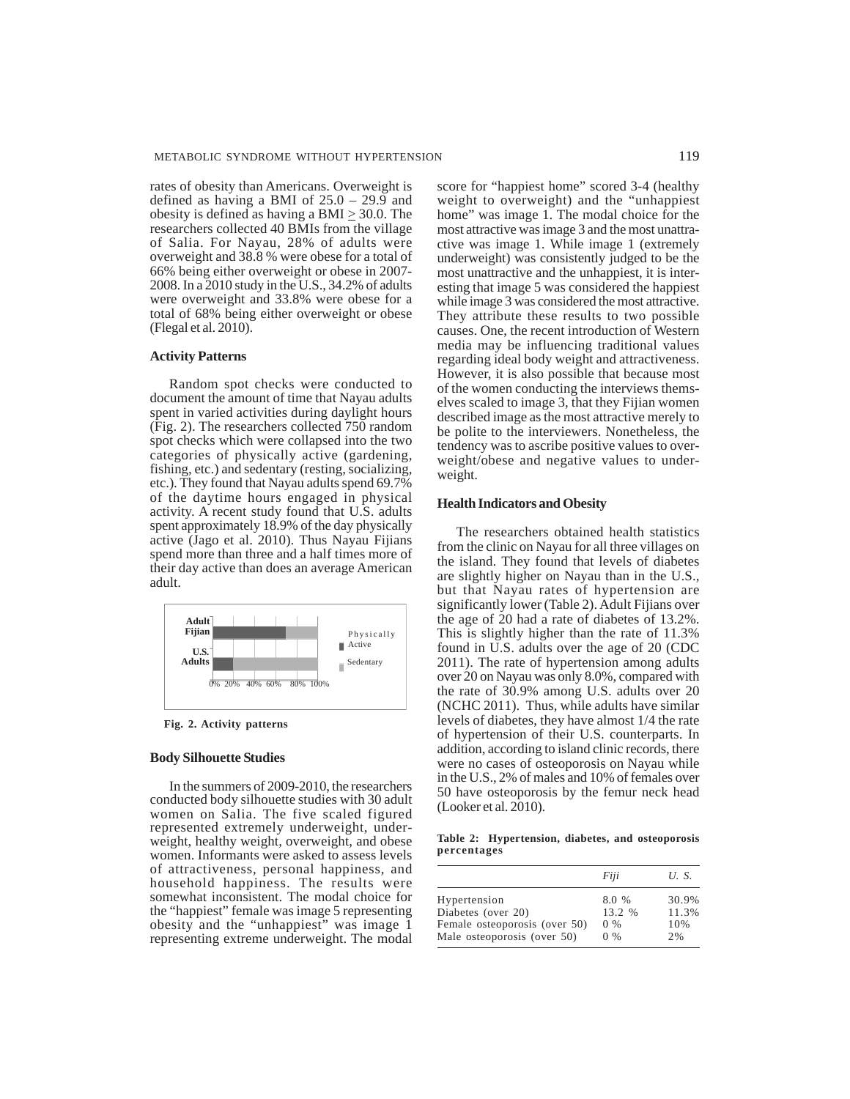rates of obesity than Americans. Overweight is defined as having a BMI of 25.0 – 29.9 and obesity is defined as having a BMI  $\geq$  30.0. The researchers collected 40 BMIs from the village of Salia. For Nayau, 28% of adults were overweight and 38.8 % were obese for a total of 66% being either overweight or obese in 2007- 2008. In a 2010 study in the U.S., 34.2% of adults were overweight and 33.8% were obese for a total of 68% being either overweight or obese (Flegal et al. 2010).

#### **Activity Patterns**

Random spot checks were conducted to document the amount of time that Nayau adults spent in varied activities during daylight hours (Fig. 2). The researchers collected 750 random spot checks which were collapsed into the two categories of physically active (gardening, fishing, etc.) and sedentary (resting, socializing, etc.). They found that Nayau adults spend 69.7% of the daytime hours engaged in physical activity. A recent study found that U.S. adults spent approximately 18.9% of the day physically active (Jago et al. 2010). Thus Nayau Fijians spend more than three and a half times more of their day active than does an average American adult.



**Fig. 2. Activity patterns**

## **Body Silhouette Studies**

In the summers of 2009-2010, the researchers conducted body silhouette studies with 30 adult women on Salia. The five scaled figured represented extremely underweight, underweight, healthy weight, overweight, and obese women. Informants were asked to assess levels of attractiveness, personal happiness, and household happiness. The results were somewhat inconsistent. The modal choice for the "happiest" female was image 5 representing obesity and the "unhappiest" was image 1 representing extreme underweight. The modal

score for "happiest home" scored 3-4 (healthy weight to overweight) and the "unhappiest home" was image 1. The modal choice for the most attractive was image 3 and the most unattractive was image 1. While image 1 (extremely underweight) was consistently judged to be the most unattractive and the unhappiest, it is interesting that image 5 was considered the happiest while image 3 was considered the most attractive. They attribute these results to two possible causes. One, the recent introduction of Western media may be influencing traditional values regarding ideal body weight and attractiveness. However, it is also possible that because most of the women conducting the interviews themselves scaled to image 3, that they Fijian women described image as the most attractive merely to be polite to the interviewers. Nonetheless, the tendency was to ascribe positive values to overweight/obese and negative values to underweight.

## **Health Indicators and Obesity**

The researchers obtained health statistics from the clinic on Nayau for all three villages on the island. They found that levels of diabetes are slightly higher on Nayau than in the U.S., but that Nayau rates of hypertension are significantly lower (Table 2). Adult Fijians over the age of 20 had a rate of diabetes of 13.2%. This is slightly higher than the rate of 11.3% found in U.S. adults over the age of 20 (CDC 2011). The rate of hypertension among adults over 20 on Nayau was only 8.0%, compared with the rate of 30.9% among U.S. adults over 20 (NCHC 2011). Thus, while adults have similar levels of diabetes, they have almost 1/4 the rate of hypertension of their U.S. counterparts. In addition, according to island clinic records, there were no cases of osteoporosis on Nayau while in the U.S., 2% of males and 10% of females over 50 have osteoporosis by the femur neck head (Looker et al. 2010).

**Table 2: Hypertension, diabetes, and osteoporosis percentages**

|                                                                                                    | Fiji                              | U.S.                        |
|----------------------------------------------------------------------------------------------------|-----------------------------------|-----------------------------|
| Hypertension<br>Diabetes (over 20)<br>Female osteoporosis (over 50)<br>Male osteoporosis (over 50) | 8.0 %<br>13.2 %<br>$0\%$<br>$0\%$ | 30.9%<br>11.3%<br>10%<br>2% |
|                                                                                                    |                                   |                             |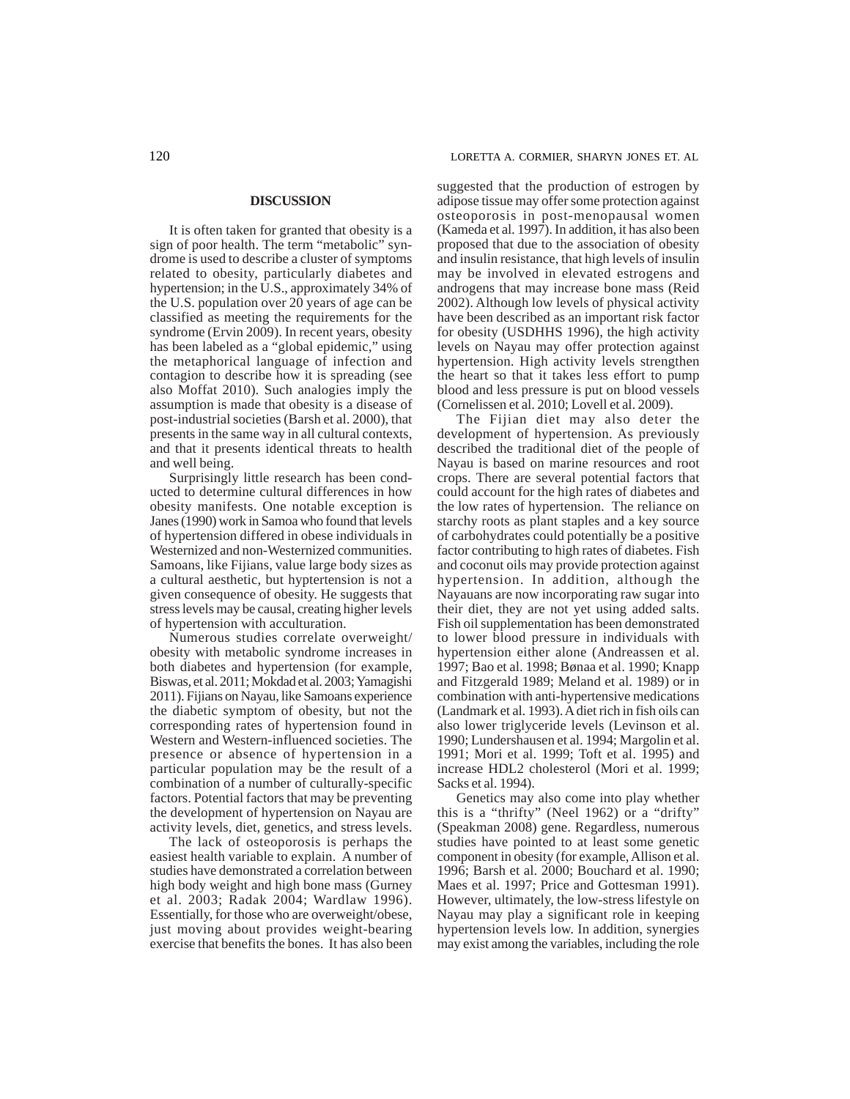## **DISCUSSION**

It is often taken for granted that obesity is a sign of poor health. The term "metabolic" syndrome is used to describe a cluster of symptoms related to obesity, particularly diabetes and hypertension; in the U.S., approximately 34% of the U.S. population over 20 years of age can be classified as meeting the requirements for the syndrome (Ervin 2009). In recent years, obesity has been labeled as a "global epidemic," using the metaphorical language of infection and contagion to describe how it is spreading (see also Moffat 2010). Such analogies imply the assumption is made that obesity is a disease of post-industrial societies (Barsh et al. 2000), that presents in the same way in all cultural contexts, and that it presents identical threats to health and well being.

Surprisingly little research has been conducted to determine cultural differences in how obesity manifests. One notable exception is Janes (1990) work in Samoa who found that levels of hypertension differed in obese individuals in Westernized and non-Westernized communities. Samoans, like Fijians, value large body sizes as a cultural aesthetic, but hyptertension is not a given consequence of obesity. He suggests that stress levels may be causal, creating higher levels of hypertension with acculturation.

Numerous studies correlate overweight/ obesity with metabolic syndrome increases in both diabetes and hypertension (for example, Biswas, et al. 2011; Mokdad et al. 2003; Yamagishi 2011). Fijians on Nayau, like Samoans experience the diabetic symptom of obesity, but not the corresponding rates of hypertension found in Western and Western-influenced societies. The presence or absence of hypertension in a particular population may be the result of a combination of a number of culturally-specific factors. Potential factors that may be preventing the development of hypertension on Nayau are activity levels, diet, genetics, and stress levels.

The lack of osteoporosis is perhaps the easiest health variable to explain. A number of studies have demonstrated a correlation between high body weight and high bone mass (Gurney et al. 2003; Radak 2004; Wardlaw 1996). Essentially, for those who are overweight/obese, just moving about provides weight-bearing exercise that benefits the bones. It has also been suggested that the production of estrogen by adipose tissue may offer some protection against osteoporosis in post-menopausal women (Kameda et al. 1997). In addition, it has also been proposed that due to the association of obesity and insulin resistance, that high levels of insulin may be involved in elevated estrogens and androgens that may increase bone mass (Reid 2002). Although low levels of physical activity have been described as an important risk factor for obesity (USDHHS 1996), the high activity levels on Nayau may offer protection against hypertension. High activity levels strengthen the heart so that it takes less effort to pump blood and less pressure is put on blood vessels (Cornelissen et al. 2010; Lovell et al. 2009).

The Fijian diet may also deter the development of hypertension. As previously described the traditional diet of the people of Nayau is based on marine resources and root crops. There are several potential factors that could account for the high rates of diabetes and the low rates of hypertension. The reliance on starchy roots as plant staples and a key source of carbohydrates could potentially be a positive factor contributing to high rates of diabetes. Fish and coconut oils may provide protection against hypertension. In addition, although the Nayauans are now incorporating raw sugar into their diet, they are not yet using added salts. Fish oil supplementation has been demonstrated to lower blood pressure in individuals with hypertension either alone (Andreassen et al. 1997; Bao et al. 1998; Bønaa et al. 1990; Knapp and Fitzgerald 1989; Meland et al. 1989) or in combination with anti-hypertensive medications (Landmark et al. 1993). A diet rich in fish oils can also lower triglyceride levels (Levinson et al. 1990; Lundershausen et al. 1994; Margolin et al. 1991; Mori et al. 1999; Toft et al. 1995) and increase HDL2 cholesterol (Mori et al. 1999; Sacks et al. 1994).

Genetics may also come into play whether this is a "thrifty" (Neel 1962) or a "drifty" (Speakman 2008) gene. Regardless, numerous studies have pointed to at least some genetic component in obesity (for example, Allison et al. 1996; Barsh et al. 2000; Bouchard et al. 1990; Maes et al. 1997; Price and Gottesman 1991). However, ultimately, the low-stress lifestyle on Nayau may play a significant role in keeping hypertension levels low. In addition, synergies may exist among the variables, including the role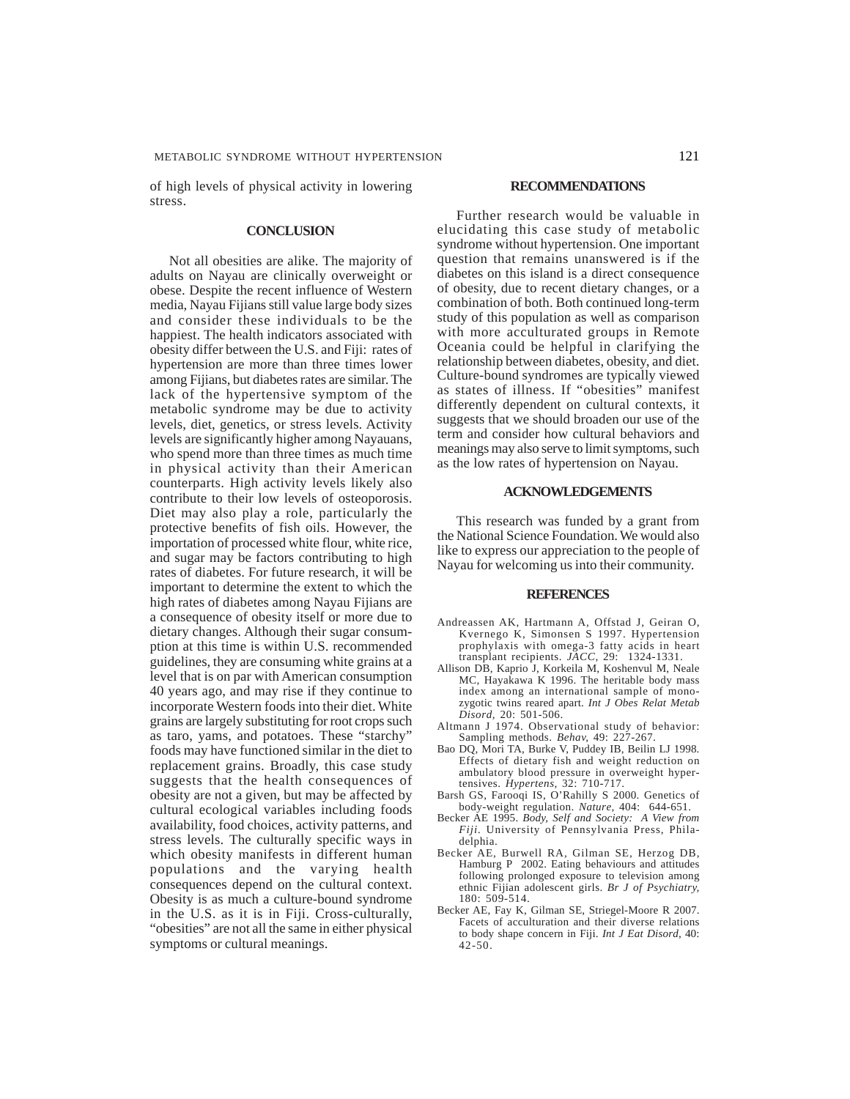of high levels of physical activity in lowering stress.

#### **CONCLUSION**

Not all obesities are alike. The majority of adults on Nayau are clinically overweight or obese. Despite the recent influence of Western media, Nayau Fijians still value large body sizes and consider these individuals to be the happiest. The health indicators associated with obesity differ between the U.S. and Fiji: rates of hypertension are more than three times lower among Fijians, but diabetes rates are similar. The lack of the hypertensive symptom of the metabolic syndrome may be due to activity levels, diet, genetics, or stress levels. Activity levels are significantly higher among Nayauans, who spend more than three times as much time in physical activity than their American counterparts. High activity levels likely also contribute to their low levels of osteoporosis. Diet may also play a role, particularly the protective benefits of fish oils. However, the importation of processed white flour, white rice, and sugar may be factors contributing to high rates of diabetes. For future research, it will be important to determine the extent to which the high rates of diabetes among Nayau Fijians are a consequence of obesity itself or more due to dietary changes. Although their sugar consumption at this time is within U.S. recommended guidelines, they are consuming white grains at a level that is on par with American consumption 40 years ago, and may rise if they continue to incorporate Western foods into their diet. White grains are largely substituting for root crops such as taro, yams, and potatoes. These "starchy" foods may have functioned similar in the diet to replacement grains. Broadly, this case study suggests that the health consequences of obesity are not a given, but may be affected by cultural ecological variables including foods availability, food choices, activity patterns, and stress levels. The culturally specific ways in which obesity manifests in different human populations and the varying health consequences depend on the cultural context. Obesity is as much a culture-bound syndrome in the U.S. as it is in Fiji. Cross-culturally, "obesities" are not all the same in either physical symptoms or cultural meanings.

#### **RECOMMENDATIONS**

Further research would be valuable in elucidating this case study of metabolic syndrome without hypertension. One important question that remains unanswered is if the diabetes on this island is a direct consequence of obesity, due to recent dietary changes, or a combination of both. Both continued long-term study of this population as well as comparison with more acculturated groups in Remote Oceania could be helpful in clarifying the relationship between diabetes, obesity, and diet. Culture-bound syndromes are typically viewed as states of illness. If "obesities" manifest differently dependent on cultural contexts, it suggests that we should broaden our use of the term and consider how cultural behaviors and meanings may also serve to limit symptoms, such as the low rates of hypertension on Nayau.

# **ACKNOWLEDGEMENTS**

This research was funded by a grant from the National Science Foundation. We would also like to express our appreciation to the people of Nayau for welcoming us into their community.

#### **REFERENCES**

- Andreassen AK, Hartmann A, Offstad J, Geiran O, Kvernego K, Simonsen S 1997. Hypertension prophylaxis with omega-3 fatty acids in heart transplant recipients. *JACC,* 29: 1324-1331.
- Allison DB, Kaprio J, Korkeila M, Koshenvul M, Neale MC, Hayakawa K 1996. The heritable body mass index among an international sample of monozygotic twins reared apart. *Int J Obes Relat Metab Disord,* 20: 501-506.
- Altmann J 1974. Observational study of behavior: Sampling methods. *Behav,* 49: 227-267.
- Bao DQ, Mori TA, Burke V, Puddey IB, Beilin LJ 1998. Effects of dietary fish and weight reduction on ambulatory blood pressure in overweight hypertensives. *Hypertens,* 32: 710-717.
- Barsh GS, Farooqi IS, O'Rahilly S 2000. Genetics of body-weight regulation. *Nature,* 404: 644-651.
- Becker AE 1995. *Body, Self and Society: A View from Fiji.* University of Pennsylvania Press, Philadelphia.
- Becker AE, Burwell RA, Gilman SE, Herzog DB, Hamburg P 2002. Eating behaviours and attitudes following prolonged exposure to television among ethnic Fijian adolescent girls. *Br J of Psychiatry,* 180: 509-514.
- Becker AE, Fay K, Gilman SE, Striegel-Moore R 2007. Facets of acculturation and their diverse relations to body shape concern in Fiji. *Int J Eat Disord,* 40: 42-50.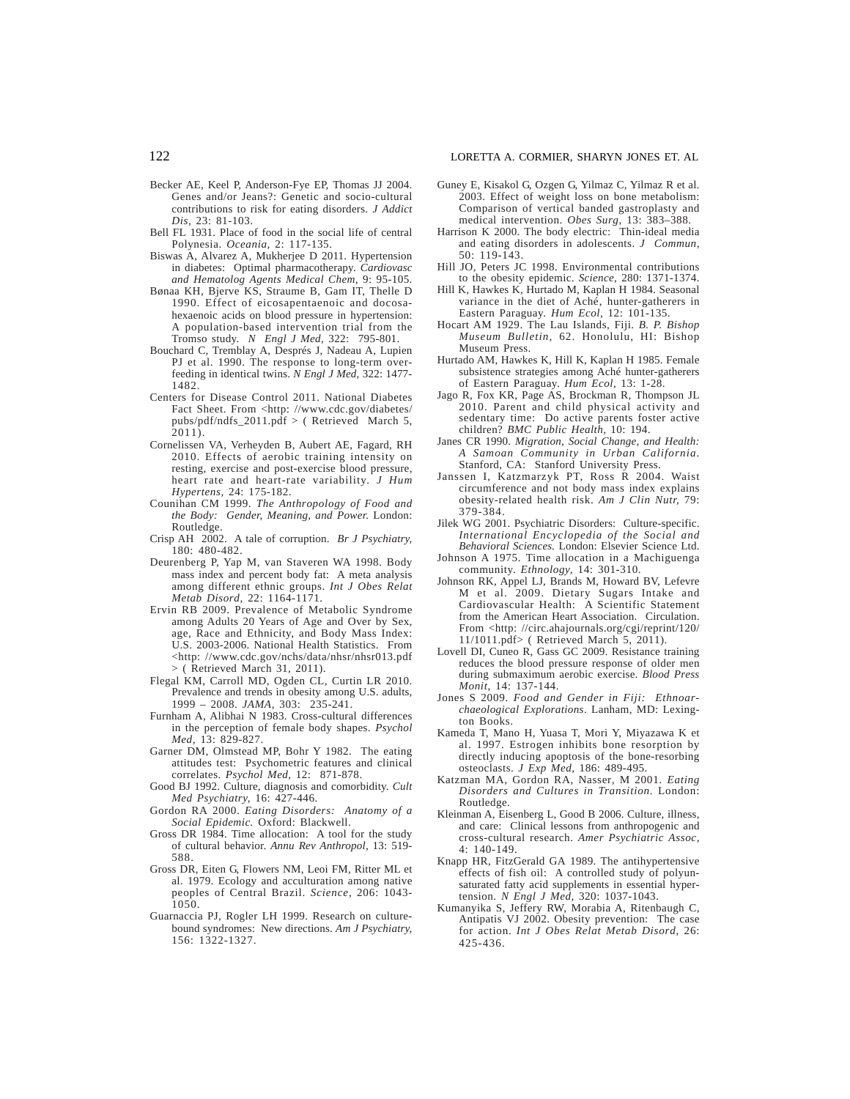#### 122 LORETTA A. CORMIER, SHARYN JONES ET. AL

- Becker AE, Keel P, Anderson-Fye EP, Thomas JJ 2004. Genes and/or Jeans?: Genetic and socio-cultural contributions to risk for eating disorders. *J Addict Dis,* 23: 81-103.
- Bell FL 1931. Place of food in the social life of central Polynesia. *Oceania,* 2: 117-135.
- Biswas A, Alvarez A, Mukherjee D 2011. Hypertension in diabetes: Optimal pharmacotherapy. *Cardiovasc and Hematolog Agents Medical Chem,* 9: 95-105.
- Bønaa KH, Bjerve KS, Straume B, Gam IT, Thelle D 1990. Effect of eicosapentaenoic and docosahexaenoic acids on blood pressure in hypertension: A population-based intervention trial from the Tromso study. *N Engl J Med,* 322: 795-801.
- Bouchard C, Tremblay A, Després J, Nadeau A, Lupien PJ et al. 1990. The response to long-term overfeeding in identical twins. *N Engl J Med,* 322: 1477- 1482.
- Centers for Disease Control 2011. National Diabetes Fact Sheet. From <http: //www.cdc.gov/diabetes/ pubs/pdf/ndfs\_2011.pdf > ( Retrieved March 5, 2011).
- Cornelissen VA, Verheyden B, Aubert AE, Fagard, RH 2010. Effects of aerobic training intensity on resting, exercise and post-exercise blood pressure, heart rate and heart-rate variability. *J Hum Hypertens*, 24: 175-182.
- Counihan CM 1999. *The Anthropology of Food and the Body: Gender, Meaning, and Power.* London: Routledge.
- Crisp AH 2002. A tale of corruption. *Br J Psychiatry,* 180: 480-482.
- Deurenberg P, Yap M, van Staveren WA 1998. Body mass index and percent body fat: A meta analysis among different ethnic groups. *Int J Obes Relat Metab Disord,* 22: 1164-1171.
- Ervin RB 2009. Prevalence of Metabolic Syndrome among Adults 20 Years of Age and Over by Sex, age, Race and Ethnicity, and Body Mass Index: U.S. 2003-2006. National Health Statistics. From <http: //www.cdc.gov/nchs/data/nhsr/nhsr013.pdf > ( Retrieved March 31, 2011).
- Flegal KM, Carroll MD, Ogden CL, Curtin LR 2010. Prevalence and trends in obesity among U.S. adults, 1999 – 2008. *JAMA,* 303: 235-241.
- Furnham A, Alibhai N 1983. Cross-cultural differences in the perception of female body shapes. *Psychol Med,* 13: 829-827.
- Garner DM, Olmstead MP, Bohr Y 1982. The eating attitudes test: Psychometric features and clinical correlates. *Psychol Med,* 12: 871-878.
- Good BJ 1992. Culture, diagnosis and comorbidity. *Cult Med Psychiatry,* 16: 427-446.
- Gordon RA 2000. *Eating Disorders: Anatomy of a Social Epidemic.* Oxford: Blackwell.
- Gross DR 1984. Time allocation: A tool for the study of cultural behavior. *Annu Rev Anthropol,* 13: 519- 588.
- Gross DR, Eiten G, Flowers NM, Leoi FM, Ritter ML et al. 1979. Ecology and acculturation among native peoples of Central Brazil. *Science,* 206: 1043- 1050.
- Guarnaccia PJ, Rogler LH 1999. Research on culturebound syndromes: New directions. *Am J Psychiatry,* 156: 1322-1327.
- Guney E, Kisakol G, Ozgen G, Yilmaz C, Yilmaz R et al. 2003. Effect of weight loss on bone metabolism: Comparison of vertical banded gastroplasty and medical intervention. *Obes Surg,* 13: 383–388.
- Harrison K 2000. The body electric: Thin-ideal media and eating disorders in adolescents. *J Commun,* 50: 119-143.
- Hill JO, Peters JC 1998. Environmental contributions to the obesity epidemic. *Science,* 280: 1371-1374.
- Hill K, Hawkes K, Hurtado M, Kaplan H 1984. Seasonal variance in the diet of Aché, hunter-gatherers in Eastern Paraguay. *Hum Ecol,* 12: 101-135.
- Hocart AM 1929. The Lau Islands, Fiji. *B. P. Bishop Museum Bulletin,* 62. Honolulu, HI: Bishop Museum Press.
- Hurtado AM, Hawkes K, Hill K, Kaplan H 1985. Female subsistence strategies among Aché hunter-gatherers of Eastern Paraguay. *Hum Ecol,* 13: 1-28.
- Jago R, Fox KR, Page AS, Brockman R, Thompson JL 2010. Parent and child physical activity and sedentary time: Do active parents foster active children? *BMC Public Health,* 10: 194.
- Janes CR 1990. *Migration, Social Change, and Health: A Samoan Community in Urban California.* Stanford, CA: Stanford University Press.
- Janssen I, Katzmarzyk PT, Ross R 2004. Waist circumference and not body mass index explains obesity-related health risk. *Am J Clin Nutr,* 79: 379-384.
- Jilek WG 2001. Psychiatric Disorders: Culture-specific. *International Encyclopedia of the Social and Behavioral Sciences.* London: Elsevier Science Ltd.
- Johnson A 1975. Time allocation in a Machiguenga community. *Ethnology,* 14: 301-310.
- Johnson RK, Appel LJ, Brands M, Howard BV, Lefevre M et al. 2009. Dietary Sugars Intake and Cardiovascular Health: A Scientific Statement from the American Heart Association. Circulation. From <http: //circ.ahajournals.org/cgi/reprint/120/ 11/1011.pdf> ( Retrieved March 5, 2011).
- Lovell DI, Cuneo R, Gass GC 2009. Resistance training reduces the blood pressure response of older men during submaximum aerobic exercise. *Blood Press Monit*, 14: 137-144.
- Jones S 2009. *Food and Gender in Fiji: Ethnoarchaeological Explorations*. Lanham, MD: Lexington Books.
- Kameda T, Mano H, Yuasa T, Mori Y, Miyazawa K et al. 1997. Estrogen inhibits bone resorption by directly inducing apoptosis of the bone-resorbing osteoclasts. *J Exp Med,* 186: 489-495.
- Katzman MA, Gordon RA, Nasser, M 2001*. Eating Disorders and Cultures in Transition.* London: Routledge.
- Kleinman A, Eisenberg L, Good B 2006. Culture, illness, and care: Clinical lessons from anthropogenic and cross-cultural research. *Amer Psychiatric Assoc,* 4: 140-149.
- Knapp HR, FitzGerald GA 1989. The antihypertensive effects of fish oil: A controlled study of polyunsaturated fatty acid supplements in essential hypertension. *N Engl J Med,* 320: 1037-1043.
- Kumanyika S, Jeffery RW, Morabia A, Ritenbaugh C, Antipatis VJ 2002. Obesity prevention: The case for action. *Int J Obes Relat Metab Disord,* 26: 425-436.